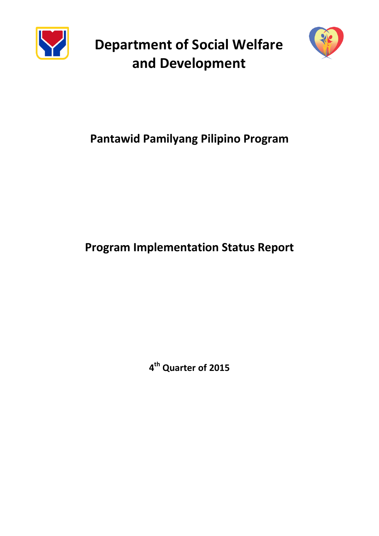

**Department of Social Welfare and Development**



# **Pantawid Pamilyang Pilipino Program**

# **Program Implementation Status Report**

**4 th Quarter of 2015**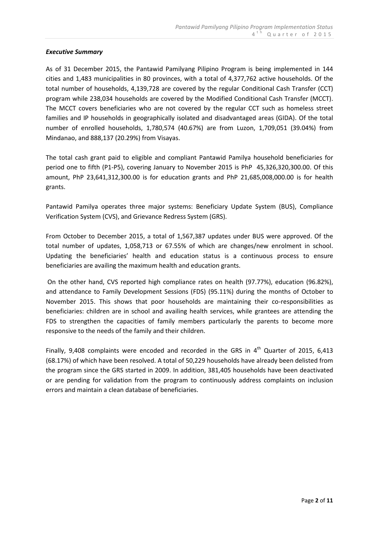## *Executive Summary*

As of 31 December 2015, the Pantawid Pamilyang Pilipino Program is being implemented in 144 cities and 1,483 municipalities in 80 provinces, with a total of 4,377,762 active households. Of the total number of households, 4,139,728 are covered by the regular Conditional Cash Transfer (CCT) program while 238,034 households are covered by the Modified Conditional Cash Transfer (MCCT). The MCCT covers beneficiaries who are not covered by the regular CCT such as homeless street families and IP households in geographically isolated and disadvantaged areas (GIDA). Of the total number of enrolled households, 1,780,574 (40.67%) are from Luzon, 1,709,051 (39.04%) from Mindanao, and 888,137 (20.29%) from Visayas.

The total cash grant paid to eligible and compliant Pantawid Pamilya household beneficiaries for period one to fifth (P1-P5), covering January to November 2015 is PhP 45,326,320,300.00. Of this amount, PhP 23,641,312,300.00 is for education grants and PhP 21,685,008,000.00 is for health grants.

Pantawid Pamilya operates three major systems: Beneficiary Update System (BUS), Compliance Verification System (CVS), and Grievance Redress System (GRS).

From October to December 2015, a total of 1,567,387 updates under BUS were approved. Of the total number of updates, 1,058,713 or 67.55% of which are changes/new enrolment in school. Updating the beneficiaries' health and education status is a continuous process to ensure beneficiaries are availing the maximum health and education grants.

On the other hand, CVS reported high compliance rates on health (97.77%), education (96.82%), and attendance to Family Development Sessions (FDS) (95.11%) during the months of October to November 2015. This shows that poor households are maintaining their co-responsibilities as beneficiaries: children are in school and availing health services, while grantees are attending the FDS to strengthen the capacities of family members particularly the parents to become more responsive to the needs of the family and their children.

Finally, 9,408 complaints were encoded and recorded in the GRS in  $4<sup>th</sup>$  Quarter of 2015, 6,413 (68.17%) of which have been resolved. A total of 50,229 households have already been delisted from the program since the GRS started in 2009. In addition, 381,405 households have been deactivated or are pending for validation from the program to continuously address complaints on inclusion errors and maintain a clean database of beneficiaries.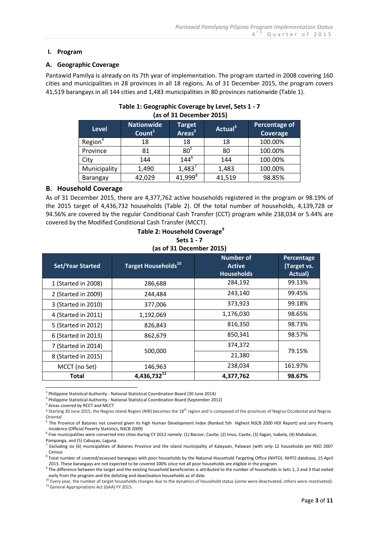#### **I. Program**

#### **A. Geographic Coverage**

Pantawid Pamilya is already on its 7th year of implementation. The program started in 2008 covering 160 cities and municipalities in 28 provinces in all 18 regions. As of 31 December 2015, the program covers 41,519 barangays in all 144 cities and 1,483 municipalities in 80 provinces nationwide (Table 1).

| <b>Level</b>        | <b>Nationwide</b><br>Count <sup>1</sup> | <b>Target</b><br>Areas $2$ | Actual <sup>3</sup> | Percentage of<br>Coverage |  |  |  |
|---------------------|-----------------------------------------|----------------------------|---------------------|---------------------------|--|--|--|
| Region <sup>4</sup> | 18                                      | 18                         | 18                  | 100.00%                   |  |  |  |
| Province            | 81                                      | 80 <sup>5</sup>            | 80                  | 100.00%                   |  |  |  |
| City                | 144                                     | $144^{6}$                  | 144                 | 100.00%                   |  |  |  |
| Municipality        | 1,490                                   | $1,483^7$                  | 1,483               | 100.00%                   |  |  |  |
| Barangay            | 42,029                                  | 41,999 <sup>8</sup>        | 41,519              | 98.85%                    |  |  |  |

# **Table 1: Geographic Coverage by Level, Sets 1 - 7 (as of 31 December 2015)**

#### **B. Household Coverage**

As of 31 December 2015, there are 4,377,762 active households registered in the program or 98.19% of the 2015 target of 4,436,732 households (Table 2). Of the total number of households, 4,139,728 or 94.56% are covered by the regular Conditional Cash Transfer (CCT) program while 238,034 or 5.44% are covered by the Modified Conditional Cash Transfer (MCCT).

| Table 2: Household Coverage <sup>9</sup> |
|------------------------------------------|
| Sets 1 - 7                               |
| (as of 31 December 2015)                 |

| <b>Set/Year Started</b> | Target Households <sup>10</sup> | Number of<br><b>Active</b><br><b>Households</b> | Percentage<br>(Target vs.<br>Actual) |
|-------------------------|---------------------------------|-------------------------------------------------|--------------------------------------|
| 1 (Started in 2008)     | 286,688                         | 284,192                                         | 99.13%                               |
| 2 (Started in 2009)     | 244,484                         | 243,140                                         | 99.45%                               |
| 3 (Started in 2010)     | 377,006                         | 373,923                                         | 99.18%                               |
| 4 (Started in 2011)     | 1,192,069                       | 1,176,030                                       | 98.65%                               |
| 5 (Started in 2012)     | 826,843                         | 816,350                                         | 98.73%                               |
| 6 (Started in 2013)     | 862,679                         | 850,341                                         | 98.57%                               |
| 7 (Started in 2014)     |                                 | 374,372                                         |                                      |
| 8 (Started in 2015)     | 500,000                         | 21,380                                          | 79.15%                               |
| MCCT (no Set)           | 146,963                         | 238,034                                         | 161.97%                              |
| Total                   | 4,436,73211                     | 4,377,762                                       | 98.67%                               |

<u>.</u> <sup>1</sup> Philippine Statistical Authority - National Statistical Coordination Board (30 June 2014)

<sup>2</sup> Philippine Statistical Authority - National Statistical Coordination Board (September 2012)

<sup>3</sup> Areas covered by RCCT and MCCT

<sup>6</sup> Five municipalities were converted into cities during CY 2012 namely: (1) Bacoor, Cavite, (2) Imus, Cavite, (3) Ilagan, Isabela, (4) Mabalacat, Pampanga, and (5) Cabuyao, Laguna.

<sup>&</sup>lt;sup>4</sup> Starting 30 June 2015, the Negros Island Region (NIR) becomes the 18<sup>th</sup> region and is composed of the provinces of Negros Occidental and Negros Oriental

<sup>&</sup>lt;sup>5</sup> The Province of Batanes not covered given its high Human Development Index (Ranked 5th Highest NSCB 2000 HDI Report) and zero Poverty Incidence (Official Poverty Statistics, NSCB 2009)

<sup>&</sup>lt;sup>7</sup> Excluding six (6) municipalities of Batanes Province and the island municipality of Kalayaan, Palawan (with only 12 households per NSO 2007 Census

<sup>&</sup>lt;sup>8</sup> Total number of covered/assessed barangays with poor households by the National Household Targeting Office (NHTO). NHTO database, 15 April 2013. These barangays are not expected to be covered 100% since not all poor households are eligible in the program.

 $9$  The difference between the target and the existing household beneficiaries is attributed to the number of households in Sets 1, 2 and 3 that exited

early from the program and the delisting and deactivation households as of date.<br><sup>10</sup> Every year, the number of target households changes due to the dynamics of household status (some were deactivated, others were reactiva

<sup>&</sup>lt;sup>11</sup> General Appropriations Act (GAA) FY 2015.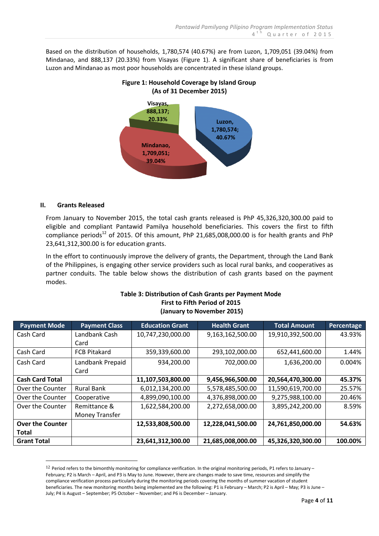Based on the distribution of households, 1,780,574 (40.67%) are from Luzon, 1,709,051 (39.04%) from Mindanao, and 888,137 (20.33%) from Visayas (Figure 1). A significant share of beneficiaries is from Luzon and Mindanao as most poor households are concentrated in these island groups.



# **Figure 1: Household Coverage by Island Group (As of 31 December 2015)**

# **II. Grants Released**

<u>.</u>

From January to November 2015, the total cash grants released is PhP 45,326,320,300.00 paid to eligible and compliant Pantawid Pamilya household beneficiaries. This covers the first to fifth compliance periods<sup>12</sup> of 2015. Of this amount, PhP 21,685,008,000.00 is for health grants and PhP 23,641,312,300.00 is for education grants.

In the effort to continuously improve the delivery of grants, the Department, through the Land Bank of the Philippines, is engaging other service providers such as local rural banks, and cooperatives as partner conduits. The table below shows the distribution of cash grants based on the payment modes.

| <b>Payment Mode</b>     | <b>Payment Class</b> | <b>Education Grant</b> | <b>Health Grant</b> | <b>Total Amount</b> | Percentage |
|-------------------------|----------------------|------------------------|---------------------|---------------------|------------|
| Cash Card               | Landbank Cash        | 10,747,230,000.00      | 9,163,162,500.00    | 19,910,392,500.00   | 43.93%     |
|                         | Card                 |                        |                     |                     |            |
| Cash Card               | <b>FCB Pitakard</b>  | 359,339,600.00         | 293,102,000.00      | 652,441,600.00      | 1.44%      |
| Cash Card               | Landbank Prepaid     | 934,200.00             | 702,000.00          | 1,636,200.00        | 0.004%     |
|                         | Card                 |                        |                     |                     |            |
| <b>Cash Card Total</b>  |                      | 11,107,503,800.00      | 9,456,966,500.00    | 20,564,470,300.00   | 45.37%     |
| Over the Counter        | <b>Rural Bank</b>    | 6,012,134,200.00       | 5,578,485,500.00    | 11,590,619,700.00   | 25.57%     |
| Over the Counter        | Cooperative          | 4,899,090,100.00       | 4,376,898,000.00    | 9,275,988,100.00    | 20.46%     |
| Over the Counter        | Remittance &         | 1,622,584,200.00       | 2,272,658,000.00    | 3,895,242,200.00    | 8.59%      |
|                         | Money Transfer       |                        |                     |                     |            |
| <b>Over the Counter</b> |                      | 12,533,808,500.00      | 12,228,041,500.00   | 24,761,850,000.00   | 54.63%     |
| <b>Total</b>            |                      |                        |                     |                     |            |
| <b>Grant Total</b>      |                      | 23,641,312,300.00      | 21,685,008,000.00   | 45,326,320,300.00   | 100.00%    |

## **Table 3: Distribution of Cash Grants per Payment Mode First to Fifth Period of 2015 (January to November 2015)**

 $12$  Period refers to the bimonthly monitoring for compliance verification. In the original monitoring periods, P1 refers to January – February; P2 is March – April, and P3 is May to June. However, there are changes made to save time, resources and simplify the compliance verification process particularly during the monitoring periods covering the months of summer vacation of student beneficiaries. The new monitoring months being implemented are the following: P1 is February – March; P2 is April – May; P3 is June – July; P4 is August – September; P5 October – November; and P6 is December – January.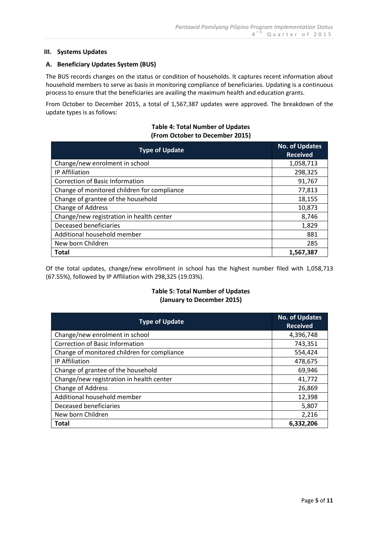#### **III. Systems Updates**

#### **A. Beneficiary Updates System (BUS)**

The BUS records changes on the status or condition of households. It captures recent information about household members to serve as basis in monitoring compliance of beneficiaries. Updating is a continuous process to ensure that the beneficiaries are availing the maximum health and education grants.

From October to December 2015, a total of 1,567,387 updates were approved. The breakdown of the update types is as follows:

#### **Table 4: Total Number of Updates (From October to December 2015)**

| <b>Type of Update</b>                       | <b>No. of Updates</b><br><b>Received</b> |
|---------------------------------------------|------------------------------------------|
| Change/new enrolment in school              | 1,058,713                                |
| IP Affiliation                              | 298,325                                  |
| <b>Correction of Basic Information</b>      | 91,767                                   |
| Change of monitored children for compliance | 77,813                                   |
| Change of grantee of the household          | 18,155                                   |
| Change of Address                           | 10,873                                   |
| Change/new registration in health center    | 8,746                                    |
| Deceased beneficiaries                      | 1,829                                    |
| Additional household member                 | 881                                      |
| New born Children                           | 285                                      |
| <b>Total</b>                                | 1,567,387                                |

Of the total updates, change/new enrollment in school has the highest number filed with 1,058,713 (67.55%), followed by IP Affiliation with 298,325 (19.03%).

## **Table 5: Total Number of Updates (January to December 2015)**

| <b>Type of Update</b>                       | <b>No. of Updates</b><br><b>Received</b> |
|---------------------------------------------|------------------------------------------|
| Change/new enrolment in school              | 4,396,748                                |
| <b>Correction of Basic Information</b>      | 743,351                                  |
| Change of monitored children for compliance | 554,424                                  |
| <b>IP Affiliation</b>                       | 478,675                                  |
| Change of grantee of the household          | 69,946                                   |
| Change/new registration in health center    | 41,772                                   |
| Change of Address                           | 26,869                                   |
| Additional household member                 | 12,398                                   |
| Deceased beneficiaries                      | 5,807                                    |
| New born Children                           | 2,216                                    |
| <b>Total</b>                                | 6,332,206                                |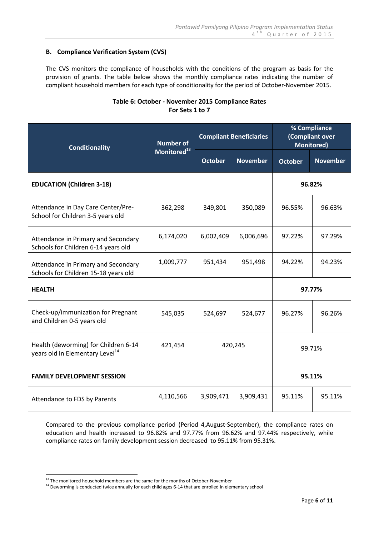## **B. Compliance Verification System (CVS)**

The CVS monitors the compliance of households with the conditions of the program as basis for the provision of grants. The table below shows the monthly compliance rates indicating the number of compliant household members for each type of conditionality for the period of October-November 2015.

# **Table 6: October - November 2015 Compliance Rates For Sets 1 to 7**

| <b>Conditionality</b>                                                               | Number of               | <b>Compliant Beneficiaries</b> |                 | % Compliance<br>(Compliant over<br><b>Monitored</b> ) |                 |  |
|-------------------------------------------------------------------------------------|-------------------------|--------------------------------|-----------------|-------------------------------------------------------|-----------------|--|
|                                                                                     | Monitored <sup>13</sup> | <b>October</b>                 | <b>November</b> | <b>October</b>                                        | <b>November</b> |  |
| <b>EDUCATION (Children 3-18)</b>                                                    |                         |                                |                 |                                                       | 96.82%          |  |
| Attendance in Day Care Center/Pre-<br>School for Children 3-5 years old             | 362,298                 | 349,801                        | 350,089         | 96.55%                                                | 96.63%          |  |
| Attendance in Primary and Secondary<br>Schools for Children 6-14 years old          | 6,174,020               | 6,002,409                      | 6,006,696       | 97.22%                                                | 97.29%          |  |
| Attendance in Primary and Secondary<br>Schools for Children 15-18 years old         | 1,009,777               | 951,434                        | 951,498         | 94.22%                                                | 94.23%          |  |
| <b>HEALTH</b>                                                                       |                         |                                |                 | 97.77%                                                |                 |  |
| Check-up/immunization for Pregnant<br>and Children 0-5 years old                    | 545,035                 | 524,697                        | 524,677         | 96.27%                                                | 96.26%          |  |
| Health (deworming) for Children 6-14<br>years old in Elementary Level <sup>14</sup> | 421,454                 | 420,245                        |                 | 99.71%                                                |                 |  |
| <b>FAMILY DEVELOPMENT SESSION</b>                                                   |                         |                                |                 | 95.11%                                                |                 |  |
| Attendance to FDS by Parents                                                        | 4,110,566               | 3,909,471                      | 3,909,431       | 95.11%                                                | 95.11%          |  |

Compared to the previous compliance period (Period 4,August-September), the compliance rates on education and health increased to 96.82% and 97.77% from 96.62% and 97.44% respectively, while compliance rates on family development session decreased to 95.11% from 95.31%.

<u>.</u>

 $13$  The monitored household members are the same for the months of October-November

<sup>&</sup>lt;sup>14</sup> Deworming is conducted twice annually for each child ages 6-14 that are enrolled in elementary school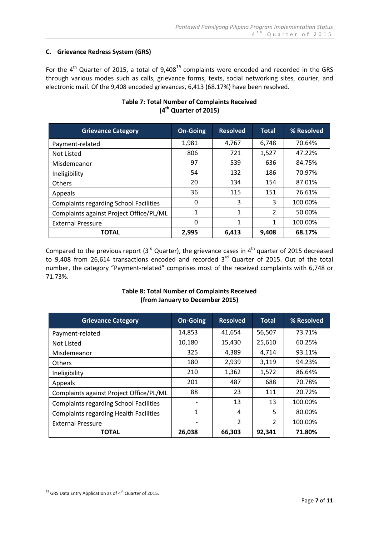## **C. Grievance Redress System (GRS)**

For the  $4^{th}$  Quarter of 2015, a total of 9,408<sup>15</sup> complaints were encoded and recorded in the GRS through various modes such as calls, grievance forms, texts, social networking sites, courier, and electronic mail. Of the 9,408 encoded grievances, 6,413 (68.17%) have been resolved.

| <b>Grievance Category</b>                     | <b>On-Going</b> | <b>Resolved</b> | <b>Total</b>   | % Resolved |
|-----------------------------------------------|-----------------|-----------------|----------------|------------|
| Payment-related                               | 1,981           | 4,767           | 6,748          | 70.64%     |
| Not Listed                                    | 806             | 721             | 1,527          | 47.22%     |
| Misdemeanor                                   | 97              | 539             | 636            | 84.75%     |
| Ineligibility                                 | 54              | 132             | 186            | 70.97%     |
| <b>Others</b>                                 | 20              | 134             | 154            | 87.01%     |
| Appeals                                       | 36              | 115             | 151            | 76.61%     |
| <b>Complaints regarding School Facilities</b> | 0               | 3               | 3              | 100.00%    |
| Complaints against Project Office/PL/ML       | 1               | 1               | $\overline{2}$ | 50.00%     |
| <b>External Pressure</b>                      | 0               | 1               | 1              | 100.00%    |
| <b>TOTAL</b>                                  | 2,995           | 6,413           | 9,408          | 68.17%     |

# **Table 7: Total Number of Complaints Received (4 th Quarter of 2015)**

Compared to the previous report (3<sup>rd</sup> Quarter), the grievance cases in 4<sup>th</sup> quarter of 2015 decreased to 9,408 from 26,614 transactions encoded and recorded  $3<sup>rd</sup>$  Quarter of 2015. Out of the total number, the category "Payment-related" comprises most of the received complaints with 6,748 or 71.73%.

# **Table 8: Total Number of Complaints Received (from January to December 2015)**

| <b>Grievance Category</b>                     | <b>On-Going</b> | <b>Resolved</b> | <b>Total</b>   | % Resolved |
|-----------------------------------------------|-----------------|-----------------|----------------|------------|
| Payment-related                               | 14,853          | 41,654          | 56,507         | 73.71%     |
| Not Listed                                    | 10,180          | 15,430          | 25,610         | 60.25%     |
| Misdemeanor                                   | 325             | 4,389           | 4,714          | 93.11%     |
| Others                                        | 180             | 2,939           | 3,119          | 94.23%     |
| Ineligibility                                 | 210             | 1,362           | 1,572          | 86.64%     |
| Appeals                                       | 201             | 487             | 688            | 70.78%     |
| Complaints against Project Office/PL/ML       | 88              | 23              | 111            | 20.72%     |
| <b>Complaints regarding School Facilities</b> |                 | 13              | 13             | 100.00%    |
| <b>Complaints regarding Health Facilities</b> | 1               | 4               | 5              | 80.00%     |
| <b>External Pressure</b>                      |                 | 2               | $\overline{2}$ | 100.00%    |
| TOTAL                                         | 26,038          | 66,303          | 92,341         | 71.80%     |

<sup>&</sup>lt;u>.</u>  $15$  GRS Data Entry Application as of 4<sup>th</sup> Quarter of 2015.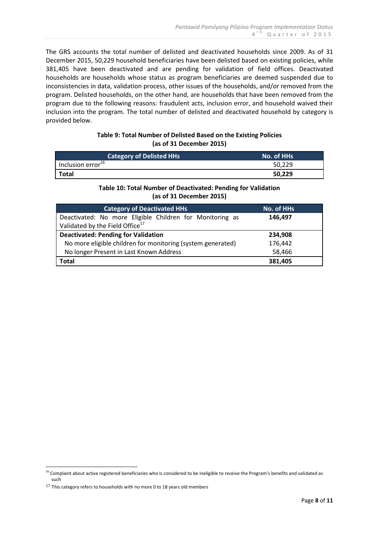The GRS accounts the total number of delisted and deactivated households since 2009. As of 31 December 2015, 50,229 household beneficiaries have been delisted based on existing policies, while 381,405 have been deactivated and are pending for validation of field offices. Deactivated households are households whose status as program beneficiaries are deemed suspended due to inconsistencies in data, validation process, other issues of the households, and/or removed from the program. Delisted households, on the other hand, are households that have been removed from the program due to the following reasons: fraudulent acts, inclusion error, and household waived their inclusion into the program. The total number of delisted and deactivated household by category is provided below.

## **Table 9: Total Number of Delisted Based on the Existing Policies (as of 31 December 2015)**

| <b>Category of Delisted HHs</b> | No. of HHs |
|---------------------------------|------------|
| Inclusion error <sup>16</sup>   | 50,229     |
| <b>Total</b>                    | 50,229     |

# **Table 10: Total Number of Deactivated: Pending for Validation (as of 31 December 2015)**

| <b>Category of Deactivated HHs</b>                          | No. of HHs |
|-------------------------------------------------------------|------------|
| Deactivated: No more Eligible Children for Monitoring as    | 146.497    |
| Validated by the Field Office <sup>17</sup>                 |            |
| <b>Deactivated: Pending for Validation</b>                  | 234,908    |
| No more eligible children for monitoring (system generated) | 176,442    |
| No longer Present in Last Known Address                     | 58,466     |
| Total                                                       | 381,405    |

<sup>&</sup>lt;u>.</u> <sup>16</sup> Complaint about active registered beneficiaries who is considered to be ineligible to receive the Program's benefits and validated as such

 $^{17}$  This category refers to households with no more 0 to 18 years old members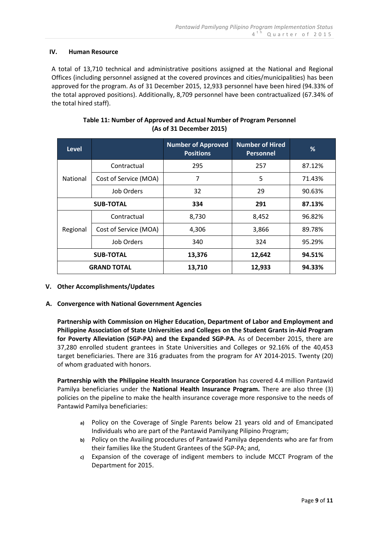## **IV. Human Resource**

A total of 13,710 technical and administrative positions assigned at the National and Regional Offices (including personnel assigned at the covered provinces and cities/municipalities) has been approved for the program. As of 31 December 2015, 12,933 personnel have been hired (94.33% of the total approved positions). Additionally, 8,709 personnel have been contractualized (67.34% of the total hired staff).

| <b>Level</b>       |                       | <b>Number of Approved</b><br><b>Positions</b> | <b>Number of Hired</b><br><b>Personnel</b> | %      |
|--------------------|-----------------------|-----------------------------------------------|--------------------------------------------|--------|
|                    | Contractual           | 295                                           | 257                                        | 87.12% |
| National           | Cost of Service (MOA) | 7                                             | 5                                          | 71.43% |
|                    | Job Orders            | 32                                            | 29                                         | 90.63% |
| <b>SUB-TOTAL</b>   |                       | 334                                           | 291                                        | 87.13% |
|                    | Contractual           | 8,730                                         | 8,452                                      | 96.82% |
| Regional           | Cost of Service (MOA) | 4,306                                         | 3,866                                      | 89.78% |
|                    | Job Orders            | 340                                           | 324                                        | 95.29% |
| <b>SUB-TOTAL</b>   |                       | 13,376                                        | 12,642                                     | 94.51% |
| <b>GRAND TOTAL</b> |                       | 13,710                                        | 12,933                                     | 94.33% |

| Table 11: Number of Approved and Actual Number of Program Personnel |
|---------------------------------------------------------------------|
| (As of 31 December 2015)                                            |

#### **V. Other Accomplishments/Updates**

#### **A. Convergence with National Government Agencies**

**Partnership with Commission on Higher Education, Department of Labor and Employment and Philippine Association of State Universities and Colleges on the Student Grants in-Aid Program for Poverty Alleviation (SGP-PA) and the Expanded SGP-PA**. As of December 2015, there are 37,280 enrolled student grantees in State Universities and Colleges or 92.16% of the 40,453 target beneficiaries. There are 316 graduates from the program for AY 2014-2015. Twenty (20) of whom graduated with honors.

**Partnership with the Philippine Health Insurance Corporation** has covered 4.4 million Pantawid Pamilya beneficiaries under the **National Health Insurance Program.** There are also three (3) policies on the pipeline to make the health insurance coverage more responsive to the needs of Pantawid Pamilya beneficiaries:

- **a)** Policy on the Coverage of Single Parents below 21 years old and of Emancipated Individuals who are part of the Pantawid Pamilyang Pilipino Program;
- **b)** Policy on the Availing procedures of Pantawid Pamilya dependents who are far from their families like the Student Grantees of the SGP-PA; and,
- **c)** Expansion of the coverage of indigent members to include MCCT Program of the Department for 2015.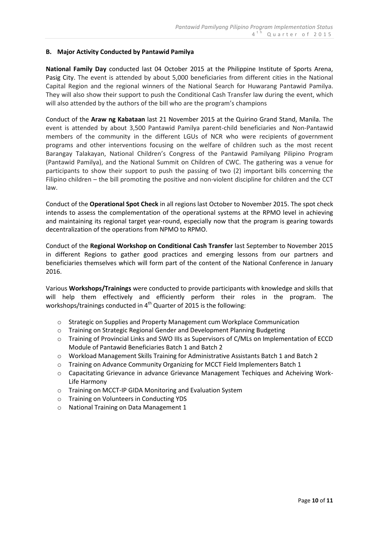#### **B. Major Activity Conducted by Pantawid Pamilya**

**National Family Day** conducted last 04 October 2015 at the Philippine Institute of Sports Arena, Pasig City. The event is attended by about 5,000 beneficiaries from different cities in the National Capital Region and the regional winners of the National Search for Huwarang Pantawid Pamilya. They will also show their support to push the Conditional Cash Transfer law during the event, which will also attended by the authors of the bill who are the program's champions

Conduct of the **Araw ng Kabataan** last 21 November 2015 at the Quirino Grand Stand, Manila. The event is attended by about 3,500 Pantawid Pamilya parent-child beneficiaries and Non-Pantawid members of the community in the different LGUs of NCR who were recipients of government programs and other interventions focusing on the welfare of children such as the most recent Barangay Talakayan, National Children's Congress of the Pantawid Pamilyang Pilipino Program (Pantawid Pamilya), and the National Summit on Children of CWC. The gathering was a venue for participants to show their support to push the passing of two (2) important bills concerning the Filipino children – the bill promoting the positive and non-violent discipline for children and the CCT law.

Conduct of the **Operational Spot Check** in all regions last October to November 2015. The spot check intends to assess the complementation of the operational systems at the RPMO level in achieving and maintaining its regional target year-round, especially now that the program is gearing towards decentralization of the operations from NPMO to RPMO.

Conduct of the **Regional Workshop on Conditional Cash Transfer** last September to November 2015 in different Regions to gather good practices and emerging lessons from our partners and beneficiaries themselves which will form part of the content of the National Conference in January 2016.

Various **Workshops/Trainings** were conducted to provide participants with knowledge and skills that will help them effectively and efficiently perform their roles in the program. The workshops/trainings conducted in 4<sup>th</sup> Quarter of 2015 is the following:

- o Strategic on Supplies and Property Management cum Workplace Communication
- o Training on Strategic Regional Gender and Development Planning Budgeting
- o Training of Provincial Links and SWO IIIs as Supervisors of C/MLs on Implementation of ECCD Module of Pantawid Beneficiaries Batch 1 and Batch 2
- o Workload Management Skills Training for Administrative Assistants Batch 1 and Batch 2
- o Training on Advance Community Organizing for MCCT Field Implementers Batch 1
- o Capacitating Grievance in advance Grievance Management Techiques and Acheiving Work-Life Harmony
- o Training on MCCT-IP GIDA Monitoring and Evaluation System
- o Training on Volunteers in Conducting YDS
- o National Training on Data Management 1